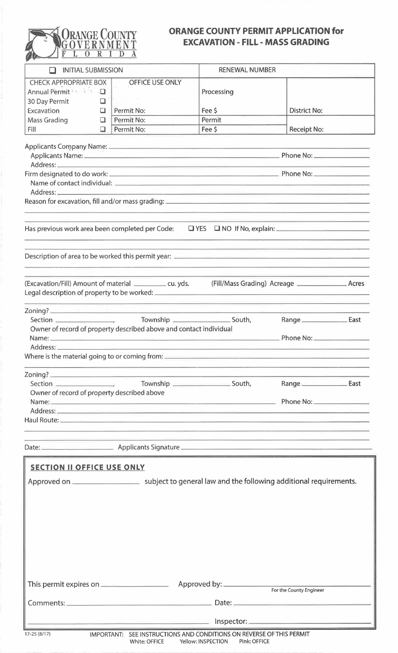

## **ORANGE COUNTY PERMIT APPLICATION for EXCAVATION- FILL- MASS GRADING**

| $\sim$                                      |   |                                                                                                               |                                                                                                                       |                                 |                                  |
|---------------------------------------------|---|---------------------------------------------------------------------------------------------------------------|-----------------------------------------------------------------------------------------------------------------------|---------------------------------|----------------------------------|
| <b>INITIAL SUBMISSION</b><br>H              |   |                                                                                                               | <b>RENEWAL NUMBER</b>                                                                                                 |                                 |                                  |
| <b>CHECK APPROPRIATE BOX</b>                |   | OFFICE USE ONLY                                                                                               |                                                                                                                       |                                 |                                  |
| Annual Permit 8 3 4 1                       |   |                                                                                                               | Processing                                                                                                            |                                 |                                  |
| 30 Day Permit                               | u |                                                                                                               |                                                                                                                       |                                 |                                  |
| Excavation                                  | □ | Permit No:                                                                                                    | Fee \$                                                                                                                | <b>District No:</b>             |                                  |
| <b>Mass Grading</b>                         | ❏ | Permit No:                                                                                                    | Permit                                                                                                                |                                 |                                  |
| Fill                                        | □ | Permit No:                                                                                                    | Fee \$                                                                                                                | <b>Receipt No:</b>              |                                  |
|                                             |   |                                                                                                               |                                                                                                                       |                                 |                                  |
|                                             |   |                                                                                                               |                                                                                                                       |                                 | <u> The Common School (1989)</u> |
|                                             |   |                                                                                                               |                                                                                                                       |                                 |                                  |
|                                             |   |                                                                                                               |                                                                                                                       |                                 |                                  |
|                                             |   |                                                                                                               | <u> 1989 - Jan James Sammer, mars al president de la provincia de la presidencia de la provincia de la provincia </u> |                                 |                                  |
|                                             |   |                                                                                                               |                                                                                                                       |                                 |                                  |
|                                             |   |                                                                                                               | <u> 1960 - Johann John Harry Harry Harry Harry Harry Harry Harry Harry Harry Harry Harry Harry Harry Harry Harry</u>  |                                 |                                  |
|                                             |   | Has previous work area been completed per Code: $\Box$ YES $\Box$ NO If No, explain:                          |                                                                                                                       | <u> 1920 - An An An An Bel</u>  |                                  |
|                                             |   |                                                                                                               | <u> 1990 - Jan James James, Amerikaansk filozof († 1901)</u>                                                          |                                 |                                  |
|                                             |   |                                                                                                               |                                                                                                                       |                                 |                                  |
|                                             |   | (Excavation/Fill) Amount of material ____________ cu. yds.                                                    |                                                                                                                       | <u> La Caracción de Mod</u>     |                                  |
|                                             |   |                                                                                                               |                                                                                                                       |                                 |                                  |
|                                             |   |                                                                                                               |                                                                                                                       | Range ____________________ East |                                  |
|                                             |   | Owner of record of property described above and contact individual                                            |                                                                                                                       |                                 |                                  |
|                                             |   |                                                                                                               | the contract of the contract of the contract of                                                                       | Phone No:                       |                                  |
| Address:                                    |   |                                                                                                               |                                                                                                                       |                                 |                                  |
|                                             |   |                                                                                                               |                                                                                                                       |                                 |                                  |
|                                             |   | <u> 1984 - Johann Johann Sammer, Amerikaansk politiker (d. 1985)</u>                                          |                                                                                                                       |                                 |                                  |
|                                             |   |                                                                                                               |                                                                                                                       |                                 |                                  |
|                                             |   |                                                                                                               |                                                                                                                       |                                 |                                  |
| Owner of record of property described above |   | Name: Phone No:                                                                                               |                                                                                                                       |                                 |                                  |
|                                             |   |                                                                                                               |                                                                                                                       |                                 |                                  |
|                                             |   |                                                                                                               |                                                                                                                       |                                 |                                  |
|                                             |   |                                                                                                               |                                                                                                                       |                                 |                                  |
|                                             |   | <u> Album dan Album dan Basar San Album dan Basar Selatan Bandar Selatan Bandar Selatan Bandar Selatan Ba</u> |                                                                                                                       |                                 |                                  |
|                                             |   |                                                                                                               | <u> 1980 - Johann Barn, mars ann an t-Amhraich ann an t-Amhraich ann an t-Amhraich ann an t-Amhraich ann an t-Amh</u> |                                 |                                  |
| <b>SECTION II OFFICE USE ONLY</b>           |   |                                                                                                               |                                                                                                                       |                                 |                                  |
|                                             |   |                                                                                                               |                                                                                                                       |                                 |                                  |
|                                             |   |                                                                                                               |                                                                                                                       |                                 |                                  |
|                                             |   |                                                                                                               |                                                                                                                       |                                 |                                  |
|                                             |   |                                                                                                               |                                                                                                                       |                                 |                                  |
|                                             |   |                                                                                                               |                                                                                                                       |                                 |                                  |
|                                             |   |                                                                                                               |                                                                                                                       |                                 |                                  |
|                                             |   |                                                                                                               |                                                                                                                       |                                 |                                  |
|                                             |   |                                                                                                               |                                                                                                                       |                                 |                                  |
|                                             |   |                                                                                                               |                                                                                                                       |                                 |                                  |
|                                             |   |                                                                                                               |                                                                                                                       |                                 |                                  |
|                                             |   |                                                                                                               |                                                                                                                       |                                 |                                  |
|                                             |   |                                                                                                               |                                                                                                                       | For the County Engineer         |                                  |
|                                             |   |                                                                                                               |                                                                                                                       |                                 |                                  |
|                                             |   |                                                                                                               |                                                                                                                       |                                 |                                  |
|                                             |   |                                                                                                               |                                                                                                                       |                                 |                                  |

ł

<sup>17-25 (8/17)</sup> IMPORTANT: SEE INSTRUCTIONS AND CONDITIONS ON REVERSE OF THIS PERMIT White: OFFICE Yellow: INSPECTION Pink: OFFICE